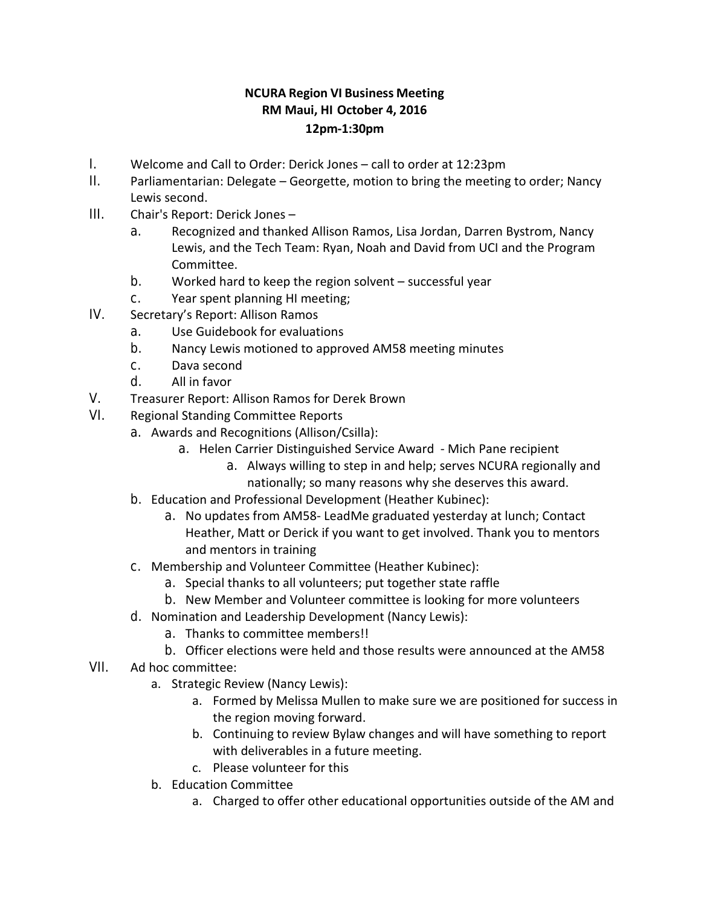## **NCURA Region VI Business Meeting RM Maui, HI October 4, 2016 12pm-1:30pm**

- I. Welcome and Call to Order: Derick Jones call to order at 12:23pm
- II. Parliamentarian: Delegate Georgette, motion to bring the meeting to order; Nancy Lewis second.
- III. Chair's Report: Derick Jones
	- a. Recognized and thanked Allison Ramos, Lisa Jordan, Darren Bystrom, Nancy Lewis, and the Tech Team: Ryan, Noah and David from UCI and the Program Committee.
	- b. Worked hard to keep the region solvent successful year
	- c. Year spent planning HI meeting;
- IV. Secretary's Report: Allison Ramos
	- a. Use Guidebook for evaluations
	- b. Nancy Lewis motioned to approved AM58 meeting minutes
	- c. Dava second
	- d. All in favor
- V. Treasurer Report: Allison Ramos for Derek Brown
- VI. Regional Standing Committee Reports
	- a. Awards and Recognitions (Allison/Csilla):
		- a. Helen Carrier Distinguished Service Award Mich Pane recipient
			- a. Always willing to step in and help; serves NCURA regionally and nationally; so many reasons why she deserves this award.
		- b. Education and Professional Development (Heather Kubinec):
			- a. No updates from AM58- LeadMe graduated yesterday at lunch; Contact Heather, Matt or Derick if you want to get involved. Thank you to mentors and mentors in training
	- c. Membership and Volunteer Committee (Heather Kubinec):
		- a. Special thanks to all volunteers; put together state raffle
		- b. New Member and Volunteer committee is looking for more volunteers
	- d. Nomination and Leadership Development (Nancy Lewis):
		- a. Thanks to committee members!!
		- b. Officer elections were held and those results were announced at the AM58
- VII. Ad hoc committee:
	- a. Strategic Review (Nancy Lewis):
		- a. Formed by Melissa Mullen to make sure we are positioned for success in the region moving forward.
		- b. Continuing to review Bylaw changes and will have something to report with deliverables in a future meeting.
		- c. Please volunteer for this
	- b. Education Committee
		- a. Charged to offer other educational opportunities outside of the AM and